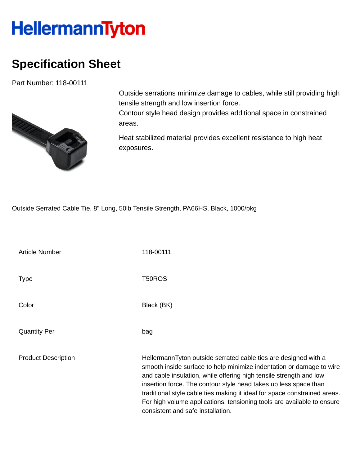## **HellermannTyton**

## **Specification Sheet**

Part Number: 118-00111



Outside serrations minimize damage to cables, while still providing high tensile strength and low insertion force.

Contour style head design provides additional space in constrained areas.

Heat stabilized material provides excellent resistance to high heat exposures.

Outside Serrated Cable Tie, 8" Long, 50lb Tensile Strength, PA66HS, Black, 1000/pkg

Article Number 118-00111 Type T50ROS Color Black (BK) Quantity Per bag Product Description **HellermannTyton outside serrated cable ties are designed with a** smooth inside surface to help minimize indentation or damage to wire and cable insulation, while offering high tensile strength and low insertion force. The contour style head takes up less space than traditional style cable ties making it ideal for space constrained areas. For high volume applications, tensioning tools are available to ensure consistent and safe installation.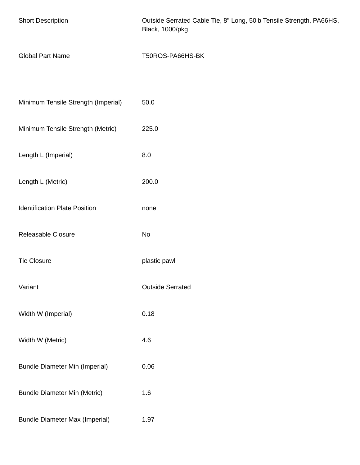| <b>Short Description</b>              | Outside Serrated Cable Tie, 8" Long, 50lb Tensile Strength, PA66HS,<br>Black, 1000/pkg |
|---------------------------------------|----------------------------------------------------------------------------------------|
| <b>Global Part Name</b>               | T50ROS-PA66HS-BK                                                                       |
| Minimum Tensile Strength (Imperial)   | 50.0                                                                                   |
| Minimum Tensile Strength (Metric)     | 225.0                                                                                  |
| Length L (Imperial)                   | 8.0                                                                                    |
| Length L (Metric)                     | 200.0                                                                                  |
| <b>Identification Plate Position</b>  | none                                                                                   |
| Releasable Closure                    | No                                                                                     |
| <b>Tie Closure</b>                    | plastic pawl                                                                           |
| Variant                               | <b>Outside Serrated</b>                                                                |
| Width W (Imperial)                    | 0.18                                                                                   |
| Width W (Metric)                      | 4.6                                                                                    |
| <b>Bundle Diameter Min (Imperial)</b> | 0.06                                                                                   |
| <b>Bundle Diameter Min (Metric)</b>   | 1.6                                                                                    |
| <b>Bundle Diameter Max (Imperial)</b> | 1.97                                                                                   |